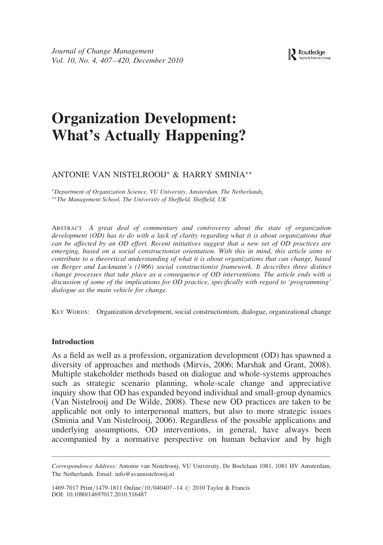# Organization Development: What's Actually Happening?

# ANTONIE VAN NISTELROOIJ<sup>∗</sup> & HARRY SMINIA∗∗

<sup>∗</sup>Department of Organization Science, VU University, Amsterdam, The Netherlands, ∗∗The Management School, The University of Sheffield, Sheffield, UK

ABSTRACT A great deal of commentary and controversy about the state of organization development (OD) has to do with a lack of clarity regarding what it is about organizations that can be affected by an OD effort. Recent initiatives suggest that a new set of OD practices are emerging, based on a social constructionist orientation. With this in mind, this article aims to contribute to a theoretical understanding of what it is about organizations that can change, based on Berger and Luckmann's (1966) social constructionist framework. It describes three distinct change processes that take place as a consequence of OD interventions. The article ends with a discussion of some of the implications for OD practice, specifically with regard to 'programming' dialogue as the main vehicle for change.

KEY WORDS: Organization development, social constructionism, dialogue, organizational change

## Introduction

As a field as well as a profession, organization development (OD) has spawned a diversity of approaches and methods (Mirvis, 2006; Marshak and Grant, 2008). Multiple stakeholder methods based on dialogue and whole-systems approaches such as strategic scenario planning, whole-scale change and appreciative inquiry show that OD has expanded beyond individual and small-group dynamics (Van Nistelrooij and De Wilde, 2008). These new OD practices are taken to be applicable not only to interpersonal matters, but also to more strategic issues (Sminia and Van Nistelrooij, 2006). Regardless of the possible applications and underlying assumptions, OD interventions, in general, have always been accompanied by a normative perspective on human behavior and by high

1469-7017 Print/1479-1811 Online/10/040407-14 © 2010 Taylor & Francis DOI: 10.1080/14697017.2010.516487

Correspondence Address: Antonie van Nistelrooij, VU University, De Boelelaan 1081, 1081 HV Amsterdam, The Netherlands. Email: info@avannistelrooij.nl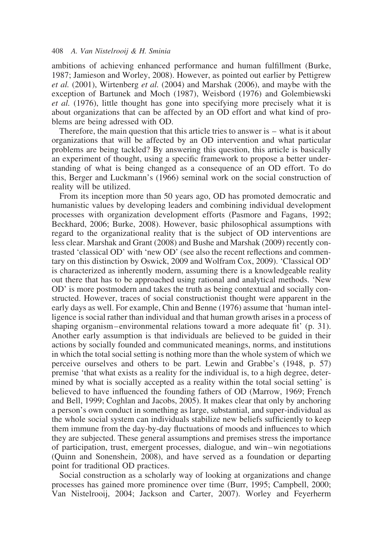ambitions of achieving enhanced performance and human fulfillment (Burke, 1987; Jamieson and Worley, 2008). However, as pointed out earlier by Pettigrew et al. (2001), Wirtenberg et al. (2004) and Marshak (2006), and maybe with the exception of Bartunek and Moch (1987), Weisbord (1976) and Golembiewski et al. (1976), little thought has gone into specifying more precisely what it is about organizations that can be affected by an OD effort and what kind of problems are being adressed with OD.

Therefore, the main question that this article tries to answer is – what is it about organizations that will be affected by an OD intervention and what particular problems are being tackled? By answering this question, this article is basically an experiment of thought, using a specific framework to propose a better understanding of what is being changed as a consequence of an OD effort. To do this, Berger and Luckmann's (1966) seminal work on the social construction of reality will be utilized.

From its inception more than 50 years ago, OD has promoted democratic and humanistic values by developing leaders and combining individual development processes with organization development efforts (Pasmore and Fagans, 1992; Beckhard, 2006; Burke, 2008). However, basic philosophical assumptions with regard to the organizational reality that is the subject of OD interventions are less clear. Marshak and Grant (2008) and Bushe and Marshak (2009) recently contrasted 'classical OD' with 'new OD' (see also the recent reflections and commentary on this distinction by Oswick, 2009 and Wolfram Cox, 2009). 'Classical OD' is characterized as inherently modern, assuming there is a knowledgeable reality out there that has to be approached using rational and analytical methods. 'New OD' is more postmodern and takes the truth as being contextual and socially constructed. However, traces of social constructionist thought were apparent in the early days as well. For example, Chin and Benne (1976) assume that 'human intelligence is social rather than individual and that human growth arises in a process of shaping organism –environmental relations toward a more adequate fit' (p. 31). Another early assumption is that individuals are believed to be guided in their actions by socially founded and communicated meanings, norms, and institutions in which the total social setting is nothing more than the whole system of which we perceive ourselves and others to be part. Lewin and Grabbe's (1948, p. 57) premise 'that what exists as a reality for the individual is, to a high degree, determined by what is socially accepted as a reality within the total social setting' is believed to have influenced the founding fathers of OD (Marrow, 1969; French and Bell, 1999; Coghlan and Jacobs, 2005). It makes clear that only by anchoring a person's own conduct in something as large, substantial, and super-individual as the whole social system can individuals stabilize new beliefs sufficiently to keep them immune from the day-by-day fluctuations of moods and influences to which they are subjected. These general assumptions and premises stress the importance of participation, trust, emergent processes, dialogue, and win–win negotiations (Quinn and Sonenshein, 2008), and have served as a foundation or departing point for traditional OD practices.

Social construction as a scholarly way of looking at organizations and change processes has gained more prominence over time (Burr, 1995; Campbell, 2000; Van Nistelrooij, 2004; Jackson and Carter, 2007). Worley and Feyerherm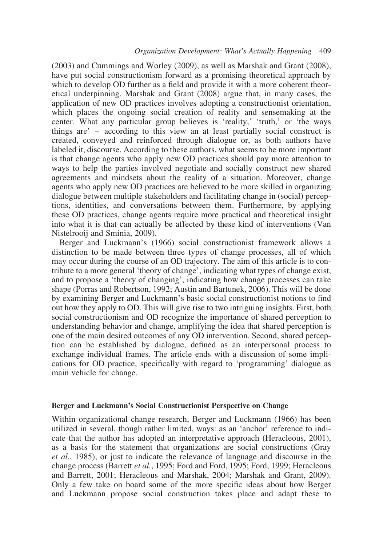## Organization Development: What's Actually Happening 409

(2003) and Cummings and Worley (2009), as well as Marshak and Grant (2008), have put social constructionism forward as a promising theoretical approach by which to develop OD further as a field and provide it with a more coherent theoretical underpinning. Marshak and Grant (2008) argue that, in many cases, the application of new OD practices involves adopting a constructionist orientation, which places the ongoing social creation of reality and sensemaking at the center. What any particular group believes is 'reality,' 'truth,' or 'the ways things are' – according to this view an at least partially social construct is created, conveyed and reinforced through dialogue or, as both authors have labeled it, discourse. According to these authors, what seems to be more important is that change agents who apply new OD practices should pay more attention to ways to help the parties involved negotiate and socially construct new shared agreements and mindsets about the reality of a situation. Moreover, change agents who apply new OD practices are believed to be more skilled in organizing dialogue between multiple stakeholders and facilitating change in (social) perceptions, identities, and conversations between them. Furthermore, by applying these OD practices, change agents require more practical and theoretical insight into what it is that can actually be affected by these kind of interventions (Van Nistelrooij and Sminia, 2009).

Berger and Luckmann's (1966) social constructionist framework allows a distinction to be made between three types of change processes, all of which may occur during the course of an OD trajectory. The aim of this article is to contribute to a more general 'theory of change', indicating what types of change exist, and to propose a 'theory of changing', indicating how change processes can take shape (Porras and Robertson, 1992; Austin and Bartunek, 2006). This will be done by examining Berger and Luckmann's basic social constructionist notions to find out how they apply to OD. This will give rise to two intriguing insights. First, both social constructionism and OD recognize the importance of shared perception to understanding behavior and change, amplifying the idea that shared perception is one of the main desired outcomes of any OD intervention. Second, shared perception can be established by dialogue, defined as an interpersonal process to exchange individual frames. The article ends with a discussion of some implications for OD practice, specifically with regard to 'programming' dialogue as main vehicle for change.

## Berger and Luckmann's Social Constructionist Perspective on Change

Within organizational change research, Berger and Luckmann (1966) has been utilized in several, though rather limited, ways: as an 'anchor' reference to indicate that the author has adopted an interpretative approach (Heracleous, 2001), as a basis for the statement that organizations are social constructions (Gray et al., 1985), or just to indicate the relevance of language and discourse in the change process (Barrett et al., 1995; Ford and Ford, 1995; Ford, 1999; Heracleous and Barrett, 2001; Heracleous and Marshak, 2004; Marshak and Grant, 2009). Only a few take on board some of the more specific ideas about how Berger and Luckmann propose social construction takes place and adapt these to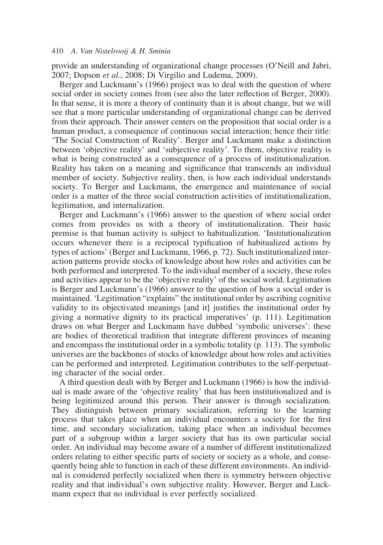provide an understanding of organizational change processes (O'Neill and Jabri, 2007; Dopson et al., 2008; Di Virgilio and Ludema, 2009).

Berger and Luckmann's (1966) project was to deal with the question of where social order in society comes from (see also the later reflection of Berger, 2000). In that sense, it is more a theory of continuity than it is about change, but we will see that a more particular understanding of organizational change can be derived from their approach. Their answer centers on the proposition that social order is a human product, a consequence of continuous social interaction; hence their title: 'The Social Construction of Reality'. Berger and Luckmann make a distinction between 'objective reality' and 'subjective reality'. To them, objective reality is what is being constructed as a consequence of a process of institutionalization. Reality has taken on a meaning and significance that transcends an individual member of society. Subjective reality, then, is how each individual understands society. To Berger and Luckmann, the emergence and maintenance of social order is a matter of the three social construction activities of institutionalization, legitimation, and internalization.

Berger and Luckmann's (1966) answer to the question of where social order comes from provides us with a theory of institutionalization. Their basic premise is that human activity is subject to habitualization. 'Institutionalization occurs whenever there is a reciprocal typification of habitualized actions by types of actions' (Berger and Luckmann, 1966, p. 72). Such institutionalized interaction patterns provide stocks of knowledge about how roles and activities can be both performed and interpreted. To the individual member of a society, these roles and activities appear to be the 'objective reality' of the social world. Legitimation is Berger and Luckmann's (1966) answer to the question of how a social order is maintained. 'Legitimation "explains" the institutional order by ascribing cognitive validity to its objectivated meanings [and it] justifies the institutional order by giving a normative dignity to its practical imperatives' (p. 111). Legitimation draws on what Berger and Luckmann have dubbed 'symbolic universes': these are bodies of theoretical tradition that integrate different provinces of meaning and encompass the institutional order in a symbolic totality (p. 113). The symbolic universes are the backbones of stocks of knowledge about how roles and activities can be performed and interpreted. Legitimation contributes to the self-perpetuating character of the social order.

A third question dealt with by Berger and Luckmann (1966) is how the individual is made aware of the 'objective reality' that has been institutionalized and is being legitimized around this person. Their answer is through socialization. They distinguish between primary socialization, referring to the learning process that takes place when an individual encounters a society for the first time, and secondary socialization, taking place when an individual becomes part of a subgroup within a larger society that has its own particular social order. An individual may become aware of a number of different institutionalized orders relating to either specific parts of society or society as a whole, and consequently being able to function in each of these different environments. An individual is considered perfectly socialized when there is symmetry between objective reality and that individual's own subjective reality. However, Berger and Luckmann expect that no individual is ever perfectly socialized.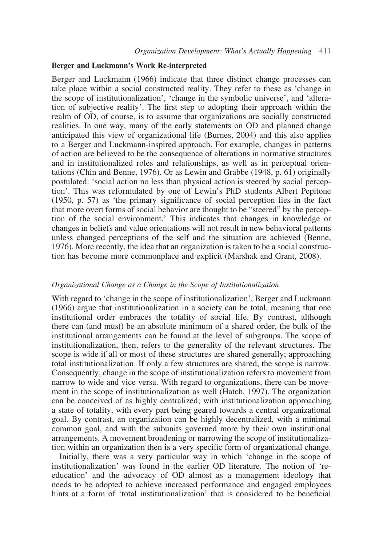## Berger and Luckmann's Work Re-interpreted

Berger and Luckmann (1966) indicate that three distinct change processes can take place within a social constructed reality. They refer to these as 'change in the scope of institutionalization', 'change in the symbolic universe', and 'alteration of subjective reality'. The first step to adopting their approach within the realm of OD, of course, is to assume that organizations are socially constructed realities. In one way, many of the early statements on OD and planned change anticipated this view of organizational life (Burnes, 2004) and this also applies to a Berger and Luckmann-inspired approach. For example, changes in patterns of action are believed to be the consequence of alterations in normative structures and in institutionalized roles and relationships, as well as in perceptual orientations (Chin and Benne, 1976). Or as Lewin and Grabbe (1948, p. 61) originally postulated: 'social action no less than physical action is steered by social perception'. This was reformulated by one of Lewin's PhD students Albert Pepitone (1950, p. 57) as 'the primary significance of social perception lies in the fact that more overt forms of social behavior are thought to be "steered" by the perception of the social environment.' This indicates that changes in knowledge or changes in beliefs and value orientations will not result in new behavioral patterns unless changed perceptions of the self and the situation are achieved (Benne, 1976). More recently, the idea that an organization is taken to be a social construction has become more commonplace and explicit (Marshak and Grant, 2008).

## Organizational Change as a Change in the Scope of Institutionalization

With regard to 'change in the scope of institutionalization', Berger and Luckmann (1966) argue that institutionalization in a society can be total, meaning that one institutional order embraces the totality of social life. By contrast, although there can (and must) be an absolute minimum of a shared order, the bulk of the institutional arrangements can be found at the level of subgroups. The scope of institutionalization, then, refers to the generality of the relevant structures. The scope is wide if all or most of these structures are shared generally; approaching total institutionalization. If only a few structures are shared, the scope is narrow. Consequently, change in the scope of institutionalization refers to movement from narrow to wide and vice versa. With regard to organizations, there can be movement in the scope of institutionalization as well (Hatch, 1997). The organization can be conceived of as highly centralized; with institutionalization approaching a state of totality, with every part being geared towards a central organizational goal. By contrast, an organization can be highly decentralized, with a minimal common goal, and with the subunits governed more by their own institutional arrangements. A movement broadening or narrowing the scope of institutionalization within an organization then is a very specific form of organizational change.

Initially, there was a very particular way in which 'change in the scope of institutionalization' was found in the earlier OD literature. The notion of 'reeducation' and the advocacy of OD almost as a management ideology that needs to be adopted to achieve increased performance and engaged employees hints at a form of 'total institutionalization' that is considered to be beneficial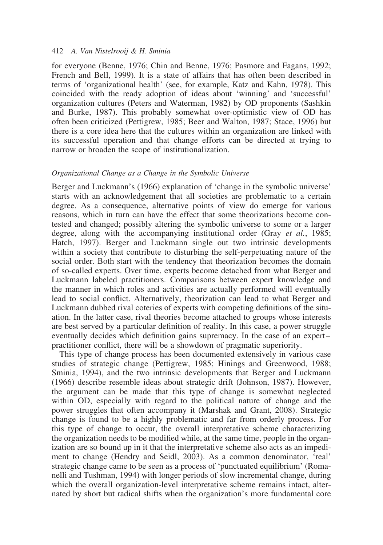for everyone (Benne, 1976; Chin and Benne, 1976; Pasmore and Fagans, 1992; French and Bell, 1999). It is a state of affairs that has often been described in terms of 'organizational health' (see, for example, Katz and Kahn, 1978). This coincided with the ready adoption of ideas about 'winning' and 'successful' organization cultures (Peters and Waterman, 1982) by OD proponents (Sashkin and Burke, 1987). This probably somewhat over-optimistic view of OD has often been criticized (Pettigrew, 1985; Beer and Walton, 1987; Stace, 1996) but there is a core idea here that the cultures within an organization are linked with its successful operation and that change efforts can be directed at trying to narrow or broaden the scope of institutionalization.

## Organizational Change as a Change in the Symbolic Universe

Berger and Luckmann's (1966) explanation of 'change in the symbolic universe' starts with an acknowledgement that all societies are problematic to a certain degree. As a consequence, alternative points of view do emerge for various reasons, which in turn can have the effect that some theorizations become contested and changed; possibly altering the symbolic universe to some or a larger degree, along with the accompanying institutional order (Gray et al., 1985; Hatch, 1997). Berger and Luckmann single out two intrinsic developments within a society that contribute to disturbing the self-perpetuating nature of the social order. Both start with the tendency that theorization becomes the domain of so-called experts. Over time, experts become detached from what Berger and Luckmann labeled practitioners. Comparisons between expert knowledge and the manner in which roles and activities are actually performed will eventually lead to social conflict. Alternatively, theorization can lead to what Berger and Luckmann dubbed rival coteries of experts with competing definitions of the situation. In the latter case, rival theories become attached to groups whose interests are best served by a particular definition of reality. In this case, a power struggle eventually decides which definition gains supremacy. In the case of an expert – practitioner conflict, there will be a showdown of pragmatic superiority.

This type of change process has been documented extensively in various case studies of strategic change (Pettigrew, 1985; Hinings and Greenwood, 1988; Sminia, 1994), and the two intrinsic developments that Berger and Luckmann (1966) describe resemble ideas about strategic drift (Johnson, 1987). However, the argument can be made that this type of change is somewhat neglected within OD, especially with regard to the political nature of change and the power struggles that often accompany it (Marshak and Grant, 2008). Strategic change is found to be a highly problematic and far from orderly process. For this type of change to occur, the overall interpretative scheme characterizing the organization needs to be modified while, at the same time, people in the organization are so bound up in it that the interpretative scheme also acts as an impediment to change (Hendry and Seidl, 2003). As a common denominator, 'real' strategic change came to be seen as a process of 'punctuated equilibrium' (Romanelli and Tushman, 1994) with longer periods of slow incremental change, during which the overall organization-level interpretative scheme remains intact, alternated by short but radical shifts when the organization's more fundamental core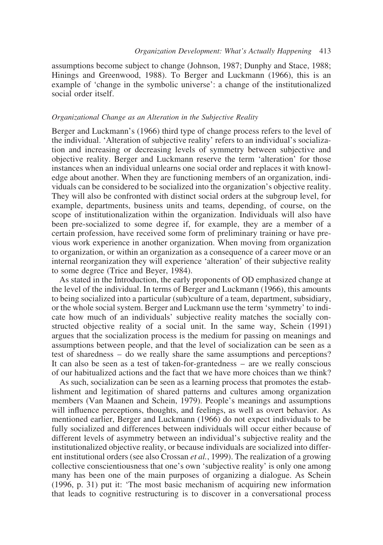assumptions become subject to change (Johnson, 1987; Dunphy and Stace, 1988; Hinings and Greenwood, 1988). To Berger and Luckmann (1966), this is an example of 'change in the symbolic universe': a change of the institutionalized social order itself.

## Organizational Change as an Alteration in the Subjective Reality

Berger and Luckmann's (1966) third type of change process refers to the level of the individual. 'Alteration of subjective reality' refers to an individual's socialization and increasing or decreasing levels of symmetry between subjective and objective reality. Berger and Luckmann reserve the term 'alteration' for those instances when an individual unlearns one social order and replaces it with knowledge about another. When they are functioning members of an organization, individuals can be considered to be socialized into the organization's objective reality. They will also be confronted with distinct social orders at the subgroup level, for example, departments, business units and teams, depending, of course, on the scope of institutionalization within the organization. Individuals will also have been pre-socialized to some degree if, for example, they are a member of a certain profession, have received some form of preliminary training or have previous work experience in another organization. When moving from organization to organization, or within an organization as a consequence of a career move or an internal reorganization they will experience 'alteration' of their subjective reality to some degree (Trice and Beyer, 1984).

As stated in the Introduction, the early proponents of OD emphasized change at the level of the individual. In terms of Berger and Luckmann (1966), this amounts to being socialized into a particular (sub)culture of a team, department, subsidiary, or the whole social system. Berger and Luckmann use the term 'symmetry' to indicate how much of an individuals' subjective reality matches the socially constructed objective reality of a social unit. In the same way, Schein (1991) argues that the socialization process is the medium for passing on meanings and assumptions between people, and that the level of socialization can be seen as a test of sharedness – do we really share the same assumptions and perceptions? It can also be seen as a test of taken-for-grantedness – are we really conscious of our habitualized actions and the fact that we have more choices than we think?

As such, socialization can be seen as a learning process that promotes the establishment and legitimation of shared patterns and cultures among organization members (Van Maanen and Schein, 1979). People's meanings and assumptions will influence perceptions, thoughts, and feelings, as well as overt behavior. As mentioned earlier, Berger and Luckmann (1966) do not expect individuals to be fully socialized and differences between individuals will occur either because of different levels of asymmetry between an individual's subjective reality and the institutionalized objective reality, or because individuals are socialized into different institutional orders (see also Crossan *et al.*, 1999). The realization of a growing collective conscientiousness that one's own 'subjective reality' is only one among many has been one of the main purposes of organizing a dialogue. As Schein (1996, p. 31) put it: 'The most basic mechanism of acquiring new information that leads to cognitive restructuring is to discover in a conversational process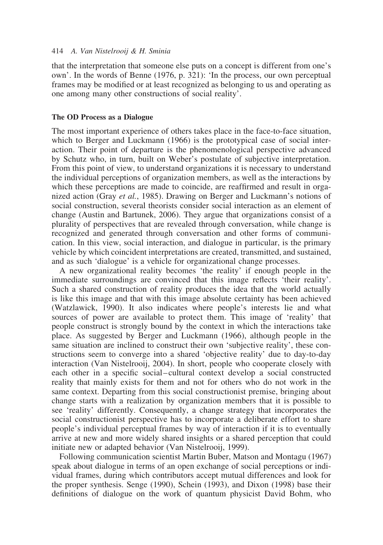that the interpretation that someone else puts on a concept is different from one's own'. In the words of Benne (1976, p. 321): 'In the process, our own perceptual frames may be modified or at least recognized as belonging to us and operating as one among many other constructions of social reality'.

## The OD Process as a Dialogue

The most important experience of others takes place in the face-to-face situation, which to Berger and Luckmann (1966) is the prototypical case of social interaction. Their point of departure is the phenomenological perspective advanced by Schutz who, in turn, built on Weber's postulate of subjective interpretation. From this point of view, to understand organizations it is necessary to understand the individual perceptions of organization members, as well as the interactions by which these perceptions are made to coincide, are reaffirmed and result in organized action (Gray et al., 1985). Drawing on Berger and Luckmann's notions of social construction, several theorists consider social interaction as an element of change (Austin and Bartunek, 2006). They argue that organizations consist of a plurality of perspectives that are revealed through conversation, while change is recognized and generated through conversation and other forms of communication. In this view, social interaction, and dialogue in particular, is the primary vehicle by which coincident interpretations are created, transmitted, and sustained, and as such 'dialogue' is a vehicle for organizational change processes.

A new organizational reality becomes 'the reality' if enough people in the immediate surroundings are convinced that this image reflects 'their reality'. Such a shared construction of reality produces the idea that the world actually is like this image and that with this image absolute certainty has been achieved (Watzlawick, 1990). It also indicates where people's interests lie and what sources of power are available to protect them. This image of 'reality' that people construct is strongly bound by the context in which the interactions take place. As suggested by Berger and Luckmann (1966), although people in the same situation are inclined to construct their own 'subjective reality', these constructions seem to converge into a shared 'objective reality' due to day-to-day interaction (Van Nistelrooij, 2004). In short, people who cooperate closely with each other in a specific social –cultural context develop a social constructed reality that mainly exists for them and not for others who do not work in the same context. Departing from this social constructionist premise, bringing about change starts with a realization by organization members that it is possible to see 'reality' differently. Consequently, a change strategy that incorporates the social constructionist perspective has to incorporate a deliberate effort to share people's individual perceptual frames by way of interaction if it is to eventually arrive at new and more widely shared insights or a shared perception that could initiate new or adapted behavior (Van Nistelrooij, 1999).

Following communication scientist Martin Buber, Matson and Montagu (1967) speak about dialogue in terms of an open exchange of social perceptions or individual frames, during which contributors accept mutual differences and look for the proper synthesis. Senge (1990), Schein (1993), and Dixon (1998) base their definitions of dialogue on the work of quantum physicist David Bohm, who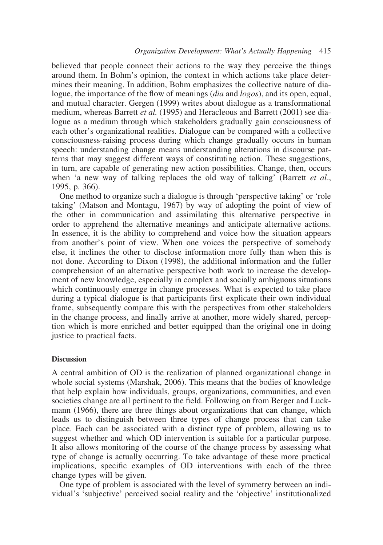## Organization Development: What's Actually Happening 415

believed that people connect their actions to the way they perceive the things around them. In Bohm's opinion, the context in which actions take place determines their meaning. In addition, Bohm emphasizes the collective nature of dialogue, the importance of the flow of meanings *(dia and logos)*, and its open, equal, and mutual character. Gergen (1999) writes about dialogue as a transformational medium, whereas Barrett et al. (1995) and Heracleous and Barrett (2001) see dialogue as a medium through which stakeholders gradually gain consciousness of each other's organizational realities. Dialogue can be compared with a collective consciousness-raising process during which change gradually occurs in human speech: understanding change means understanding alterations in discourse patterns that may suggest different ways of constituting action. These suggestions, in turn, are capable of generating new action possibilities. Change, then, occurs when 'a new way of talking replaces the old way of talking' (Barrett et al., 1995, p. 366).

One method to organize such a dialogue is through 'perspective taking' or 'role taking' (Matson and Montagu, 1967) by way of adopting the point of view of the other in communication and assimilating this alternative perspective in order to apprehend the alternative meanings and anticipate alternative actions. In essence, it is the ability to comprehend and voice how the situation appears from another's point of view. When one voices the perspective of somebody else, it inclines the other to disclose information more fully than when this is not done. According to Dixon (1998), the additional information and the fuller comprehension of an alternative perspective both work to increase the development of new knowledge, especially in complex and socially ambiguous situations which continuously emerge in change processes. What is expected to take place during a typical dialogue is that participants first explicate their own individual frame, subsequently compare this with the perspectives from other stakeholders in the change process, and finally arrive at another, more widely shared, perception which is more enriched and better equipped than the original one in doing justice to practical facts.

## **Discussion**

A central ambition of OD is the realization of planned organizational change in whole social systems (Marshak, 2006). This means that the bodies of knowledge that help explain how individuals, groups, organizations, communities, and even societies change are all pertinent to the field. Following on from Berger and Luckmann (1966), there are three things about organizations that can change, which leads us to distinguish between three types of change process that can take place. Each can be associated with a distinct type of problem, allowing us to suggest whether and which OD intervention is suitable for a particular purpose. It also allows monitoring of the course of the change process by assessing what type of change is actually occurring. To take advantage of these more practical implications, specific examples of OD interventions with each of the three change types will be given.

One type of problem is associated with the level of symmetry between an individual's 'subjective' perceived social reality and the 'objective' institutionalized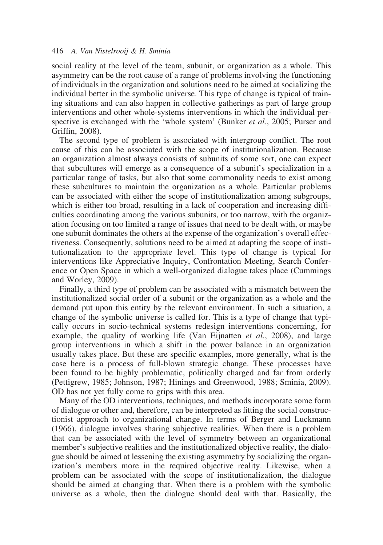social reality at the level of the team, subunit, or organization as a whole. This asymmetry can be the root cause of a range of problems involving the functioning of individuals in the organization and solutions need to be aimed at socializing the individual better in the symbolic universe. This type of change is typical of training situations and can also happen in collective gatherings as part of large group interventions and other whole-systems interventions in which the individual perspective is exchanged with the 'whole system' (Bunker *et al.*, 2005; Purser and Griffin, 2008).

The second type of problem is associated with intergroup conflict. The root cause of this can be associated with the scope of institutionalization. Because an organization almost always consists of subunits of some sort, one can expect that subcultures will emerge as a consequence of a subunit's specialization in a particular range of tasks, but also that some commonality needs to exist among these subcultures to maintain the organization as a whole. Particular problems can be associated with either the scope of institutionalization among subgroups, which is either too broad, resulting in a lack of cooperation and increasing difficulties coordinating among the various subunits, or too narrow, with the organization focusing on too limited a range of issues that need to be dealt with, or maybe one subunit dominates the others at the expense of the organization's overall effectiveness. Consequently, solutions need to be aimed at adapting the scope of institutionalization to the appropriate level. This type of change is typical for interventions like Appreciative Inquiry, Confrontation Meeting, Search Conference or Open Space in which a well-organized dialogue takes place (Cummings and Worley, 2009).

Finally, a third type of problem can be associated with a mismatch between the institutionalized social order of a subunit or the organization as a whole and the demand put upon this entity by the relevant environment. In such a situation, a change of the symbolic universe is called for. This is a type of change that typically occurs in socio-technical systems redesign interventions concerning, for example, the quality of working life (Van Eijnatten *et al.*, 2008), and large group interventions in which a shift in the power balance in an organization usually takes place. But these are specific examples, more generally, what is the case here is a process of full-blown strategic change. These processes have been found to be highly problematic, politically charged and far from orderly (Pettigrew, 1985; Johnson, 1987; Hinings and Greenwood, 1988; Sminia, 2009). OD has not yet fully come to grips with this area.

Many of the OD interventions, techniques, and methods incorporate some form of dialogue or other and, therefore, can be interpreted as fitting the social constructionist approach to organizational change. In terms of Berger and Luckmann (1966), dialogue involves sharing subjective realities. When there is a problem that can be associated with the level of symmetry between an organizational member's subjective realities and the institutionalized objective reality, the dialogue should be aimed at lessening the existing asymmetry by socializing the organization's members more in the required objective reality. Likewise, when a problem can be associated with the scope of institutionalization, the dialogue should be aimed at changing that. When there is a problem with the symbolic universe as a whole, then the dialogue should deal with that. Basically, the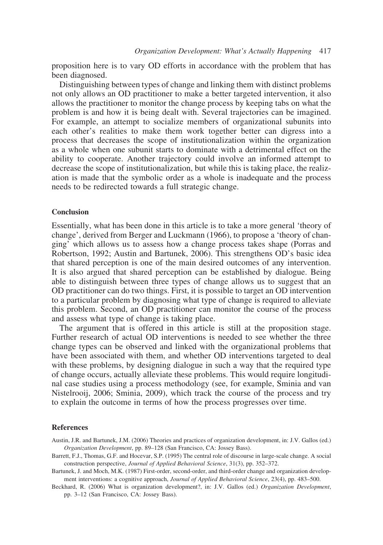proposition here is to vary OD efforts in accordance with the problem that has been diagnosed.

Distinguishing between types of change and linking them with distinct problems not only allows an OD practitioner to make a better targeted intervention, it also allows the practitioner to monitor the change process by keeping tabs on what the problem is and how it is being dealt with. Several trajectories can be imagined. For example, an attempt to socialize members of organizational subunits into each other's realities to make them work together better can digress into a process that decreases the scope of institutionalization within the organization as a whole when one subunit starts to dominate with a detrimental effect on the ability to cooperate. Another trajectory could involve an informed attempt to decrease the scope of institutionalization, but while this is taking place, the realization is made that the symbolic order as a whole is inadequate and the process needs to be redirected towards a full strategic change.

## Conclusion

Essentially, what has been done in this article is to take a more general 'theory of change', derived from Berger and Luckmann (1966), to propose a 'theory of changing' which allows us to assess how a change process takes shape (Porras and Robertson, 1992; Austin and Bartunek, 2006). This strengthens OD's basic idea that shared perception is one of the main desired outcomes of any intervention. It is also argued that shared perception can be established by dialogue. Being able to distinguish between three types of change allows us to suggest that an OD practitioner can do two things. First, it is possible to target an OD intervention to a particular problem by diagnosing what type of change is required to alleviate this problem. Second, an OD practitioner can monitor the course of the process and assess what type of change is taking place.

The argument that is offered in this article is still at the proposition stage. Further research of actual OD interventions is needed to see whether the three change types can be observed and linked with the organizational problems that have been associated with them, and whether OD interventions targeted to deal with these problems, by designing dialogue in such a way that the required type of change occurs, actually alleviate these problems. This would require longitudinal case studies using a process methodology (see, for example, Sminia and van Nistelrooij, 2006; Sminia, 2009), which track the course of the process and try to explain the outcome in terms of how the process progresses over time.

#### References

- Austin, J.R. and Bartunek, J.M. (2006) Theories and practices of organization development, in: J.V. Gallos (ed.) Organization Development, pp. 89–128 (San Francisco, CA: Jossey Bass).
- Barrett, F.J., Thomas, G.F. and Hocevar, S.P. (1995) The central role of discourse in large-scale change. A social construction perspective, Journal of Applied Behavioral Science, 31(3), pp. 352–372.
- Bartunek, J. and Moch, M.K. (1987) First-order, second-order, and third-order change and organization development interventions: a cognitive approach, Journal of Applied Behavioral Science, 23(4), pp. 483–500.
- Beckhard, R. (2006) What is organization development?, in: J.V. Gallos (ed.) Organization Development, pp. 3–12 (San Francisco, CA: Jossey Bass).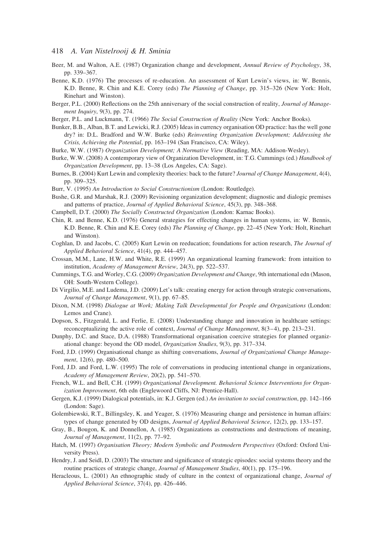- Beer, M. and Walton, A.E. (1987) Organization change and development, Annual Review of Psychology, 38, pp. 339–367.
- Benne, K.D. (1976) The processes of re-education. An assessment of Kurt Lewin's views, in: W. Bennis, K.D. Benne, R. Chin and K.E. Corey (eds) The Planning of Change, pp. 315–326 (New York: Holt, Rinehart and Winston).
- Berger, P.L. (2000) Reflections on the 25th anniversary of the social construction of reality, *Journal of Manage*ment Inquiry, 9(3), pp. 274.
- Berger, P.L. and Luckmann, T. (1966) The Social Construction of Reality (New York: Anchor Books).
- Bunker, B.B., Alban, B.T. and Lewicki, R.J. (2005) Ideas in currency organisation OD practice: has the well gone dry? in: D.L. Bradford and W.W. Burke (eds) Reinventing Organization Development; Addressing the Crisis, Achieving the Potential, pp. 163–194 (San Francisco, CA: Wiley).
- Burke, W.W. (1987) Organization Development; A Normative View (Reading, MA: Addison-Wesley).
- Burke, W.W. (2008) A contemporary view of Organization Development, in: T.G. Cummings (ed.) Handbook of Organization Development, pp. 13–38 (Los Angeles, CA: Sage).
- Burnes, B. (2004) Kurt Lewin and complexity theories: back to the future? Journal of Change Management, 4(4), pp. 309–325.
- Burr, V. (1995) An Introduction to Social Constructionism (London: Routledge).
- Bushe, G.R. and Marshak, R.J. (2009) Revisioning organization development; diagnostic and dialogic premises and patterns of practice, Journal of Applied Behavioral Science, 45(3), pp. 348–368.
- Campbell, D.T. (2000) The Socially Constructed Organization (London: Karnac Books).
- Chin, R. and Benne, K.D. (1976) General strategies for effecting changes in human systems, in: W. Bennis, K.D. Benne, R. Chin and K.E. Corey (eds) The Planning of Change, pp. 22–45 (New York: Holt, Rinehart and Winston).
- Coghlan, D. and Jacobs, C. (2005) Kurt Lewin on reeducation; foundations for action research, The Journal of Applied Behavioral Science, 41(4), pp. 444–457.
- Crossan, M.M., Lane, H.W. and White, R.E. (1999) An organizational learning framework: from intuition to institution, Academy of Management Review, 24(3), pp. 522–537.
- Cummings, T.G. and Worley, C.G. (2009) Organization Development and Change, 9th international edn (Mason, OH: South-Western College).
- Di Virgilio, M.E. and Ludema, J.D. (2009) Let's talk: creating energy for action through strategic conversations, Journal of Change Management, 9(1), pp. 67–85.
- Dixon, N.M. (1998) Dialogue at Work; Making Talk Developmental for People and Organizations (London: Lemos and Crane).
- Dopson, S., Fitzgerald, L. and Ferlie, E. (2008) Understanding change and innovation in healthcare settings: reconceptualizing the active role of context, Journal of Change Management, 8(3–4), pp. 213–231.
- Dunphy, D.C. and Stace, D.A. (1988) Transformational organisation coercive strategies for planned organizational change: beyond the OD model, Organization Studies, 9(3), pp. 317–334.
- Ford, J.D. (1999) Organisational change as shifting conversations, Journal of Organizational Change Management, 12(6), pp. 480–500.
- Ford, J.D. and Ford, L.W. (1995) The role of conversations in producing intentional change in organizations, Academy of Management Review, 20(2), pp. 541–570.
- French, W.L. and Bell, C.H. (1999) Organizational Development. Behavioral Science Interventions for Organization Improvement, 6th edn (Englewoord Cliffs, NJ: Prentice-Hall).
- Gergen, K.J. (1999) Dialogical potentials, in: K.J. Gergen (ed.) An invitation to social construction, pp. 142–166 (London: Sage).
- Golembiewski, R.T., Billingsley, K. and Yeager, S. (1976) Measuring change and persistence in human affairs: types of change generated by OD designs, Journal of Applied Behavioral Science, 12(2), pp. 133-157.
- Gray, B., Bougon, K. and Donnellon, A. (1985) Organizations as constructions and destructions of meaning, Journal of Management, 11(2), pp. 77–92.
- Hatch, M. (1997) Organisation Theory; Modern Symbolic and Postmodern Perspectives (Oxford: Oxford University Press).
- Hendry, J. and Seidl, D. (2003) The structure and significance of strategic episodes: social systems theory and the routine practices of strategic change, Journal of Management Studies, 40(1), pp. 175-196.
- Heracleous, L. (2001) An ethnographic study of culture in the context of organizational change, Journal of Applied Behavioral Science, 37(4), pp. 426–446.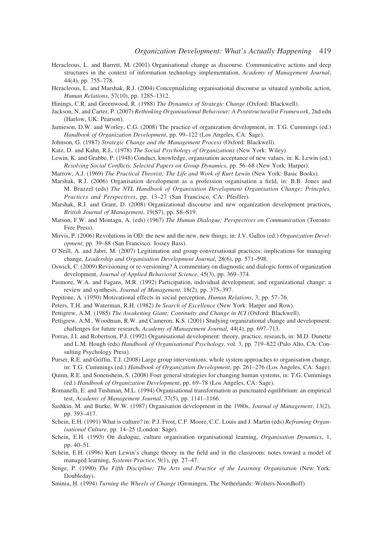- Heracleous, L. and Barrett, M. (2001) Organisational change as discourse. Communicative actions and deep structures in the context of information technology implementation, Academy of Management Journal, 44(4), pp. 755–778.
- Heracleous, L. and Marshak, R.J. (2004) Conceptualizing organisational discourse as situated symbolic action, Human Relations, 57(10), pp. 1285–1312.
- Hinings, C.R. and Greenwood, R. (1988) The Dynamics of Strategic Change (Oxford: Blackwell).
- Jackson, N. and Carter, P. (2007) Rethinking Organisational Behaviour; A Poststructuralist Framework, 2nd edn (Harlow, UK: Pearson).
- Jamieson, D.W. and Worley, C.G. (2008) The practice of organization development, in: T.G. Cummings (ed.) Handbook of Organization Development, pp. 99–122 (Los Angeles, CA: Sage).
- Johnson, G. (1987) Strategic Change and the Management Process (Oxford: Blackwell).
- Katz, D. and Kahn, R.L. (1978) The Social Psychology of Organizations (New York: Wiley).
- Lewin, K. and Grabbe, P. (1948) Conduct, knowledge, organisation acceptance of new values, in: K. Lewin (ed.) Resolving Social Conflicts. Selected Papers on Group Dynamics, pp. 56–68 (New York: Harper).
- Marrow, A.J. (1969) The Practical Theorist; The Life and Work of Kurt Lewin (New York: Basic Books).
- Marshak, R.J. (2006) Organisation development as a profession organisation a field, in: B.B. Jones and M. Brazzel (eds) The NTL Handbook of Organisation Development Organisation Change; Princples, Practices and Perspectives, pp. 13–27 (San Francisco, CA: Pfeiffer).
- Marshak, R.J. and Grant, D. (2008) Organizational discourse and new organization development practices, British Journal of Management, 19(S7), pp. S8–S19.
- Matson, F.W. and Montagu, A. (eds) (1967) The Human Dialogue; Perspectives on Communication (Toronto: Free Press).
- Mirvis, P. (2006) Revolutions in OD: the new and the new, new things, in: J.V. Gallos (ed.) Organization Development, pp. 39–88 (San Francisco: Jossey Bass).
- O'Neill, A. and Jabri, M. (2007) Legitimation and group conversational practices: implications for managing change, Leadership and Organisation Development Journal, 28(6), pp. 571–598.
- Oswick, C. (2009) Revisioning or re-versioning? A commentary on diagnostic and dialogic forms of organization development, Journal of Applied Behavioral Science, 45(3), pp. 369–374.
- Pasmore, W.A. and Fagans, M.R. (1992) Participation, individual development, and organizational change: a review and synthesis, Journal of Management, 18(2), pp. 375–397.
- Pepitone, A. (1950) Motivational effects in social perception, Human Relations, 3, pp. 57–76.
- Peters, T.H. and Waterman, R.H. (1982) In Search of Excellence (New York: Harper and Row).
- Pettigrew, A.M. (1985) The Awakening Giant: Continuity and Change in ICI (Oxford: Blackwell).
- Pettigrew, A.M., Woodman, R.W. and Cameron, K.S. (2001) Studying organizational change and development: challenges for future research, Academy of Management Journal, 44(4), pp. 697–713.
- Porras, J.I. and Robertson, P.J. (1992) Organisational development: theory, practice, research, in: M.D. Dunette and L.M. Hough (eds) Handbook of Organisational Psychology, vol. 3, pp. 719-822 (Palo Alto, CA: Consulting Psychology Press).
- Purser, R.E. and Griffin, T.J. (2008) Large group interventions; whole system approaches to organisation change, in: T.G. Cummings (ed.) Handbook of Organization Development, pp. 261–276 (Los Angeles, CA: Sage).
- Quinn, R.E. and Sonenshein, S. (2008) Four general strategies for changing human systems, in: T.G. Cummings (ed.) Handbook of Organization Development, pp. 69–78 (Los Angeles, CA: Sage).
- Romanelli, E. and Tushman, M.L. (1994) Organisational transformation as punctuated equilibrium: an empirical test, Academy of Management Journal, 37(5), pp. 1141–1166.
- Sashkin, M. and Burke, W.W. (1987) Organisation development in the 1980s, Journal of Management, 13(2), pp. 393–417.
- Schein, E.H. (1991) What is culture? in: P.J. Frost, C.F. Moore, C.C. Louis and J. Martin (eds) Reframing Organisational Culture, pp. 14–25 (London: Sage).
- Schein, E.H. (1993) On dialogue, culture organisation organisational learning, Organisation Dynamics, 1, pp. 40–51.
- Schein, E.H. (1996) Kurt Lewin's change theory in the field and in the classroom: notes toward a model of managed learning, Systems Practice, 9(1), pp. 27–47.
- Senge, P. (1990) The Fifth Discipline; The Arts and Practice of the Learning Organisation (New York: Doubleday).
- Sminia, H. (1994) Turning the Wheels of Change (Groningen, The Netherlands: Wolters-Noordhoff).